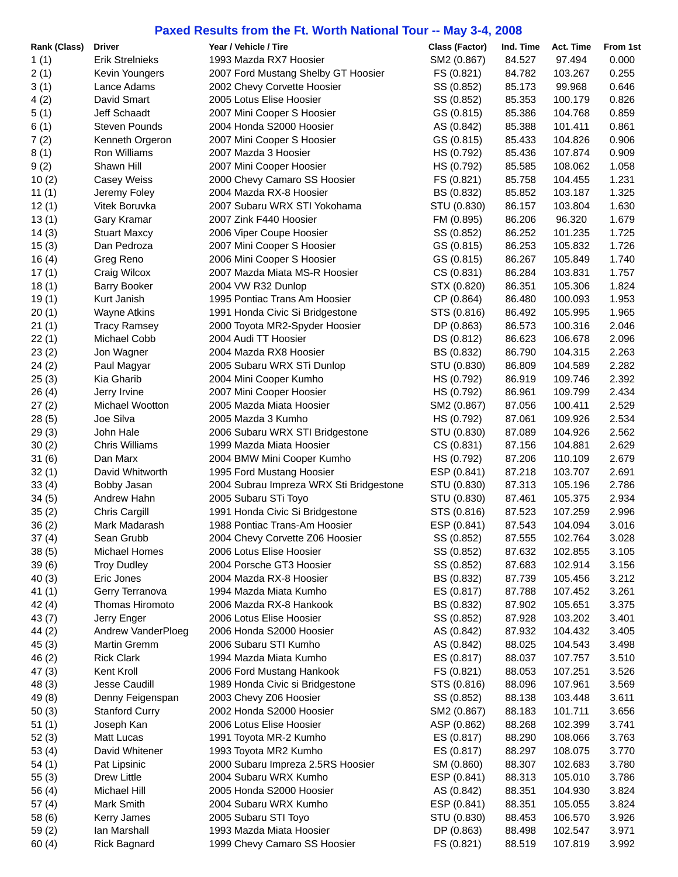## **Paxed Results from the Ft. Worth National Tour -- May 3-4, 2008**

| Rank (Class) | <b>Driver</b>          | Year / Vehicle / Tire                                  | <b>Class (Factor)</b> | Ind. Time | Act. Time | From 1st |
|--------------|------------------------|--------------------------------------------------------|-----------------------|-----------|-----------|----------|
| 1(1)         | <b>Erik Strelnieks</b> | 1993 Mazda RX7 Hoosier                                 | SM2 (0.867)           | 84.527    | 97.494    | 0.000    |
| 2(1)         | Kevin Youngers         | 2007 Ford Mustang Shelby GT Hoosier                    | FS (0.821)            | 84.782    | 103.267   | 0.255    |
| 3(1)         | Lance Adams            | 2002 Chevy Corvette Hoosier                            | SS (0.852)            | 85.173    | 99.968    | 0.646    |
| 4(2)         | David Smart            | 2005 Lotus Elise Hoosier                               | SS (0.852)            | 85.353    | 100.179   | 0.826    |
| 5(1)         | Jeff Schaadt           | 2007 Mini Cooper S Hoosier                             | GS (0.815)            | 85.386    | 104.768   | 0.859    |
| 6(1)         | Steven Pounds          | 2004 Honda S2000 Hoosier                               | AS (0.842)            | 85.388    | 101.411   | 0.861    |
| 7(2)         | Kenneth Orgeron        | 2007 Mini Cooper S Hoosier                             | GS (0.815)            | 85.433    | 104.826   | 0.906    |
| 8(1)         | Ron Williams           | 2007 Mazda 3 Hoosier                                   | HS (0.792)            | 85.436    | 107.874   | 0.909    |
| 9(2)         | Shawn Hill             | 2007 Mini Cooper Hoosier                               | HS (0.792)            | 85.585    | 108.062   | 1.058    |
| 10(2)        | <b>Casey Weiss</b>     | 2000 Chevy Camaro SS Hoosier                           | FS (0.821)            | 85.758    | 104.455   | 1.231    |
| 11 $(1)$     | Jeremy Foley           | 2004 Mazda RX-8 Hoosier                                | BS (0.832)            | 85.852    | 103.187   | 1.325    |
| 12(1)        | Vitek Boruvka          | 2007 Subaru WRX STI Yokohama                           | STU (0.830)           | 86.157    | 103.804   | 1.630    |
| 13(1)        | Gary Kramar            | 2007 Zink F440 Hoosier                                 | FM (0.895)            | 86.206    | 96.320    | 1.679    |
| 14(3)        | <b>Stuart Maxcy</b>    | 2006 Viper Coupe Hoosier                               | SS (0.852)            | 86.252    | 101.235   | 1.725    |
| 15(3)        | Dan Pedroza            | 2007 Mini Cooper S Hoosier                             | GS (0.815)            | 86.253    | 105.832   | 1.726    |
| 16(4)        | Greg Reno              | 2006 Mini Cooper S Hoosier                             | GS (0.815)            | 86.267    | 105.849   | 1.740    |
| 17(1)        | Craig Wilcox           | 2007 Mazda Miata MS-R Hoosier                          | CS (0.831)            | 86.284    | 103.831   | 1.757    |
| 18(1)        | <b>Barry Booker</b>    | 2004 VW R32 Dunlop                                     | STX (0.820)           | 86.351    | 105.306   | 1.824    |
| 19(1)        | Kurt Janish            | 1995 Pontiac Trans Am Hoosier                          | CP (0.864)            | 86.480    | 100.093   | 1.953    |
| 20(1)        | <b>Wayne Atkins</b>    | 1991 Honda Civic Si Bridgestone                        | STS (0.816)           | 86.492    | 105.995   | 1.965    |
|              |                        |                                                        |                       |           |           | 2.046    |
| 21(1)        | <b>Tracy Ramsey</b>    | 2000 Toyota MR2-Spyder Hoosier<br>2004 Audi TT Hoosier | DP (0.863)            | 86.573    | 100.316   | 2.096    |
| 22(1)        | Michael Cobb           |                                                        | DS (0.812)            | 86.623    | 106.678   | 2.263    |
| 23(2)        | Jon Wagner             | 2004 Mazda RX8 Hoosier                                 | BS (0.832)            | 86.790    | 104.315   |          |
| 24(2)        | Paul Magyar            | 2005 Subaru WRX STi Dunlop                             | STU (0.830)           | 86.809    | 104.589   | 2.282    |
| 25(3)        | Kia Gharib             | 2004 Mini Cooper Kumho                                 | HS (0.792)            | 86.919    | 109.746   | 2.392    |
| 26(4)        | Jerry Irvine           | 2007 Mini Cooper Hoosier                               | HS (0.792)            | 86.961    | 109.799   | 2.434    |
| 27(2)        | Michael Wootton        | 2005 Mazda Miata Hoosier                               | SM2 (0.867)           | 87.056    | 100.411   | 2.529    |
| 28(5)        | Joe Silva              | 2005 Mazda 3 Kumho                                     | HS (0.792)            | 87.061    | 109.926   | 2.534    |
| 29(3)        | John Hale              | 2006 Subaru WRX STI Bridgestone                        | STU (0.830)           | 87.089    | 104.926   | 2.562    |
| 30(2)        | <b>Chris Williams</b>  | 1999 Mazda Miata Hoosier                               | CS (0.831)            | 87.156    | 104.881   | 2.629    |
| 31(6)        | Dan Marx               | 2004 BMW Mini Cooper Kumho                             | HS (0.792)            | 87.206    | 110.109   | 2.679    |
| 32(1)        | David Whitworth        | 1995 Ford Mustang Hoosier                              | ESP (0.841)           | 87.218    | 103.707   | 2.691    |
| 33(4)        | Bobby Jasan            | 2004 Subrau Impreza WRX Sti Bridgestone                | STU (0.830)           | 87.313    | 105.196   | 2.786    |
| 34(5)        | Andrew Hahn            | 2005 Subaru STi Toyo                                   | STU (0.830)           | 87.461    | 105.375   | 2.934    |
| 35(2)        | Chris Cargill          | 1991 Honda Civic Si Bridgestone                        | STS (0.816)           | 87.523    | 107.259   | 2.996    |
| 36(2)        | Mark Madarash          | 1988 Pontiac Trans-Am Hoosier                          | ESP (0.841)           | 87.543    | 104.094   | 3.016    |
| 37(4)        | Sean Grubb             | 2004 Chevy Corvette Z06 Hoosier                        | SS (0.852)            | 87.555    | 102.764   | 3.028    |
| 38(5)        | Michael Homes          | 2006 Lotus Elise Hoosier                               | SS (0.852)            | 87.632    | 102.855   | 3.105    |
| 39(6)        | <b>Troy Dudley</b>     | 2004 Porsche GT3 Hoosier                               | SS (0.852)            | 87.683    | 102.914   | 3.156    |
| 40(3)        | Eric Jones             | 2004 Mazda RX-8 Hoosier                                | BS (0.832)            | 87.739    | 105.456   | 3.212    |
| 41(1)        | Gerry Terranova        | 1994 Mazda Miata Kumho                                 | ES (0.817)            | 87.788    | 107.452   | 3.261    |
| 42(4)        | <b>Thomas Hiromoto</b> | 2006 Mazda RX-8 Hankook                                | BS (0.832)            | 87.902    | 105.651   | 3.375    |
| 43(7)        | Jerry Enger            | 2006 Lotus Elise Hoosier                               | SS (0.852)            | 87.928    | 103.202   | 3.401    |
| 44(2)        | Andrew VanderPloeg     | 2006 Honda S2000 Hoosier                               | AS (0.842)            | 87.932    | 104.432   | 3.405    |
| 45(3)        | Martin Gremm           | 2006 Subaru STI Kumho                                  | AS (0.842)            | 88.025    | 104.543   | 3.498    |
| 46(2)        | <b>Rick Clark</b>      | 1994 Mazda Miata Kumho                                 | ES (0.817)            | 88.037    | 107.757   | 3.510    |
| 47(3)        | Kent Kroll             | 2006 Ford Mustang Hankook                              | FS (0.821)            | 88.053    | 107.251   | 3.526    |
| 48 (3)       | Jesse Caudill          | 1989 Honda Civic si Bridgestone                        | STS (0.816)           | 88.096    | 107.961   | 3.569    |
| 49 (8)       | Denny Feigenspan       | 2003 Chevy Z06 Hoosier                                 | SS (0.852)            | 88.138    | 103.448   | 3.611    |
| 50(3)        | <b>Stanford Curry</b>  | 2002 Honda S2000 Hoosier                               | SM2 (0.867)           | 88.183    | 101.711   | 3.656    |
| 51(1)        | Joseph Kan             | 2006 Lotus Elise Hoosier                               | ASP (0.862)           | 88.268    | 102.399   | 3.741    |
| 52(3)        | Matt Lucas             | 1991 Toyota MR-2 Kumho                                 | ES (0.817)            | 88.290    | 108.066   | 3.763    |
| 53(4)        | David Whitener         | 1993 Toyota MR2 Kumho                                  | ES (0.817)            | 88.297    | 108.075   | 3.770    |
| 54(1)        | Pat Lipsinic           | 2000 Subaru Impreza 2.5RS Hoosier                      | SM (0.860)            | 88.307    | 102.683   | 3.780    |
| 55(3)        | Drew Little            | 2004 Subaru WRX Kumho                                  | ESP (0.841)           | 88.313    | 105.010   | 3.786    |
| 56(4)        | Michael Hill           | 2005 Honda S2000 Hoosier                               | AS (0.842)            | 88.351    | 104.930   | 3.824    |
| 57(4)        | Mark Smith             | 2004 Subaru WRX Kumho                                  | ESP (0.841)           | 88.351    | 105.055   | 3.824    |
| 58 (6)       | Kerry James            | 2005 Subaru STI Toyo                                   | STU (0.830)           | 88.453    | 106.570   | 3.926    |
| 59(2)        | lan Marshall           | 1993 Mazda Miata Hoosier                               | DP (0.863)            | 88.498    | 102.547   | 3.971    |
| 60(4)        | <b>Rick Bagnard</b>    | 1999 Chevy Camaro SS Hoosier                           | FS (0.821)            | 88.519    | 107.819   | 3.992    |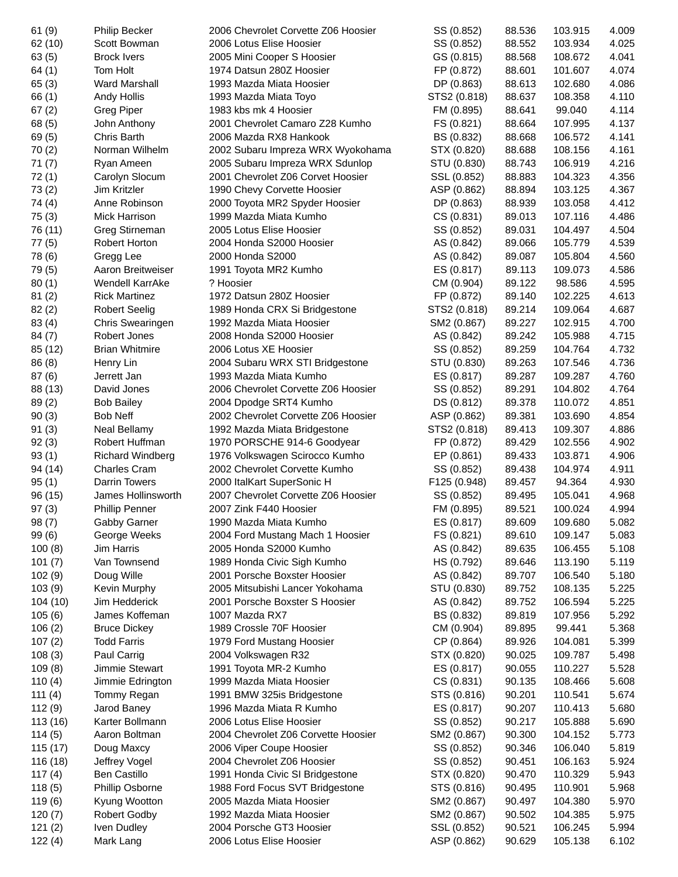| 61(9)     | <b>Philip Becker</b>    | 2006 Chevrolet Corvette Z06 Hoosier | SS (0.852)   | 88.536 | 103.915 | 4.009 |
|-----------|-------------------------|-------------------------------------|--------------|--------|---------|-------|
| 62 (10)   | Scott Bowman            | 2006 Lotus Elise Hoosier            | SS (0.852)   | 88.552 | 103.934 | 4.025 |
| 63(5)     | <b>Brock Ivers</b>      | 2005 Mini Cooper S Hoosier          | GS (0.815)   | 88.568 | 108.672 | 4.041 |
| 64(1)     | Tom Holt                | 1974 Datsun 280Z Hoosier            | FP (0.872)   | 88.601 | 101.607 | 4.074 |
| 65(3)     | Ward Marshall           | 1993 Mazda Miata Hoosier            | DP (0.863)   | 88.613 | 102.680 | 4.086 |
| 66(1)     | Andy Hollis             | 1993 Mazda Miata Toyo               | STS2 (0.818) | 88.637 | 108.358 | 4.110 |
| 67(2)     | <b>Greg Piper</b>       | 1983 kbs mk 4 Hoosier               | FM (0.895)   | 88.641 | 99.040  | 4.114 |
| 68(5)     | John Anthony            | 2001 Chevrolet Camaro Z28 Kumho     | FS (0.821)   | 88.664 | 107.995 | 4.137 |
| 69(5)     | Chris Barth             | 2006 Mazda RX8 Hankook              | BS (0.832)   | 88.668 | 106.572 | 4.141 |
| 70(2)     | Norman Wilhelm          | 2002 Subaru Impreza WRX Wyokohama   | STX (0.820)  | 88.688 | 108.156 | 4.161 |
| 71(7)     | Ryan Ameen              | 2005 Subaru Impreza WRX Sdunlop     | STU (0.830)  | 88.743 | 106.919 | 4.216 |
| 72(1)     | Carolyn Slocum          | 2001 Chevrolet Z06 Corvet Hoosier   | SSL (0.852)  | 88.883 | 104.323 | 4.356 |
| 73(2)     | Jim Kritzler            | 1990 Chevy Corvette Hoosier         | ASP (0.862)  | 88.894 | 103.125 | 4.367 |
| 74(4)     | Anne Robinson           | 2000 Toyota MR2 Spyder Hoosier      | DP (0.863)   | 88.939 | 103.058 | 4.412 |
| 75(3)     | Mick Harrison           | 1999 Mazda Miata Kumho              | CS (0.831)   | 89.013 | 107.116 | 4.486 |
| 76 (11)   | Greg Stirneman          | 2005 Lotus Elise Hoosier            | SS (0.852)   | 89.031 | 104.497 | 4.504 |
| 77(5)     | Robert Horton           | 2004 Honda S2000 Hoosier            | AS (0.842)   | 89.066 | 105.779 | 4.539 |
| 78 (6)    | Gregg Lee               | 2000 Honda S2000                    | AS (0.842)   | 89.087 | 105.804 | 4.560 |
| 79 (5)    | Aaron Breitweiser       | 1991 Toyota MR2 Kumho               | ES (0.817)   | 89.113 | 109.073 | 4.586 |
| 80(1)     | Wendell KarrAke         | ? Hoosier                           | CM (0.904)   | 89.122 | 98.586  | 4.595 |
| 81(2)     | <b>Rick Martinez</b>    | 1972 Datsun 280Z Hoosier            | FP (0.872)   | 89.140 | 102.225 | 4.613 |
|           | <b>Robert Seelig</b>    | 1989 Honda CRX Si Bridgestone       | STS2 (0.818) | 89.214 | 109.064 | 4.687 |
| 82(2)     |                         | 1992 Mazda Miata Hoosier            |              |        |         | 4.700 |
| 83(4)     | Chris Swearingen        |                                     | SM2 (0.867)  | 89.227 | 102.915 |       |
| 84(7)     | Robert Jones            | 2008 Honda S2000 Hoosier            | AS (0.842)   | 89.242 | 105.988 | 4.715 |
| 85 (12)   | <b>Brian Whitmire</b>   | 2006 Lotus XE Hoosier               | SS (0.852)   | 89.259 | 104.764 | 4.732 |
| 86(8)     | Henry Lin               | 2004 Subaru WRX STI Bridgestone     | STU (0.830)  | 89.263 | 107.546 | 4.736 |
| 87(6)     | Jerrett Jan             | 1993 Mazda Miata Kumho              | ES (0.817)   | 89.287 | 109.287 | 4.760 |
| 88 (13)   | David Jones             | 2006 Chevrolet Corvette Z06 Hoosier | SS (0.852)   | 89.291 | 104.802 | 4.764 |
| 89(2)     | <b>Bob Bailey</b>       | 2004 Dpodge SRT4 Kumho              | DS (0.812)   | 89.378 | 110.072 | 4.851 |
| 90(3)     | <b>Bob Neff</b>         | 2002 Chevrolet Corvette Z06 Hoosier | ASP (0.862)  | 89.381 | 103.690 | 4.854 |
| 91(3)     | Neal Bellamy            | 1992 Mazda Miata Bridgestone        | STS2 (0.818) | 89.413 | 109.307 | 4.886 |
| 92(3)     | Robert Huffman          | 1970 PORSCHE 914-6 Goodyear         | FP (0.872)   | 89.429 | 102.556 | 4.902 |
| 93(1)     | <b>Richard Windberg</b> | 1976 Volkswagen Scirocco Kumho      | EP (0.861)   | 89.433 | 103.871 | 4.906 |
| 94 (14)   | <b>Charles Cram</b>     | 2002 Chevrolet Corvette Kumho       | SS (0.852)   | 89.438 | 104.974 | 4.911 |
| 95(1)     | <b>Darrin Towers</b>    | 2000 ItalKart SuperSonic H          | F125 (0.948) | 89.457 | 94.364  | 4.930 |
| 96 (15)   | James Hollinsworth      | 2007 Chevrolet Corvette Z06 Hoosier | SS (0.852)   | 89.495 | 105.041 | 4.968 |
| 97(3)     | <b>Phillip Penner</b>   | 2007 Zink F440 Hoosier              | FM (0.895)   | 89.521 | 100.024 | 4.994 |
| 98(7)     | Gabby Garner            | 1990 Mazda Miata Kumho              | ES (0.817)   | 89.609 | 109.680 | 5.082 |
| 99(6)     | George Weeks            | 2004 Ford Mustang Mach 1 Hoosier    | FS (0.821)   | 89.610 | 109.147 | 5.083 |
| 100(8)    | Jim Harris              | 2005 Honda S2000 Kumho              | AS (0.842)   | 89.635 | 106.455 | 5.108 |
| 101(7)    | Van Townsend            | 1989 Honda Civic Sigh Kumho         | HS (0.792)   | 89.646 | 113.190 | 5.119 |
| 102(9)    | Doug Wille              | 2001 Porsche Boxster Hoosier        | AS (0.842)   | 89.707 | 106.540 | 5.180 |
| 103(9)    | Kevin Murphy            | 2005 Mitsubishi Lancer Yokohama     | STU (0.830)  | 89.752 | 108.135 | 5.225 |
| 104(10)   | Jim Hedderick           | 2001 Porsche Boxster S Hoosier      | AS (0.842)   | 89.752 | 106.594 | 5.225 |
| 105(6)    | James Koffeman          | 1007 Mazda RX7                      | BS (0.832)   | 89.819 | 107.956 | 5.292 |
| 106(2)    | <b>Bruce Dickey</b>     | 1989 Crossle 70F Hoosier            | CM (0.904)   | 89.895 | 99.441  | 5.368 |
| 107(2)    | <b>Todd Farris</b>      | 1979 Ford Mustang Hoosier           | CP (0.864)   | 89.926 | 104.081 | 5.399 |
| 108(3)    | Paul Carrig             | 2004 Volkswagen R32                 | STX (0.820)  | 90.025 | 109.787 | 5.498 |
| 109(8)    | Jimmie Stewart          | 1991 Toyota MR-2 Kumho              | ES (0.817)   | 90.055 | 110.227 | 5.528 |
| 110 $(4)$ | Jimmie Edrington        | 1999 Mazda Miata Hoosier            | CS (0.831)   | 90.135 | 108.466 | 5.608 |
| 111 $(4)$ | Tommy Regan             | 1991 BMW 325is Bridgestone          | STS (0.816)  | 90.201 | 110.541 | 5.674 |
| 112(9)    | Jarod Baney             | 1996 Mazda Miata R Kumho            | ES (0.817)   | 90.207 | 110.413 | 5.680 |
| 113 (16)  | Karter Bollmann         | 2006 Lotus Elise Hoosier            | SS (0.852)   | 90.217 | 105.888 | 5.690 |
| 114(5)    | Aaron Boltman           | 2004 Chevrolet Z06 Corvette Hoosier | SM2 (0.867)  | 90.300 | 104.152 | 5.773 |
| 115(17)   | Doug Maxcy              | 2006 Viper Coupe Hoosier            | SS (0.852)   | 90.346 | 106.040 | 5.819 |
| 116 (18)  | Jeffrey Vogel           | 2004 Chevrolet Z06 Hoosier          | SS (0.852)   | 90.451 | 106.163 | 5.924 |
| 117 $(4)$ | <b>Ben Castillo</b>     | 1991 Honda Civic SI Bridgestone     | STX (0.820)  | 90.470 | 110.329 | 5.943 |
| 118(5)    | Phillip Osborne         | 1988 Ford Focus SVT Bridgestone     | STS (0.816)  | 90.495 | 110.901 | 5.968 |
| 119(6)    | Kyung Wootton           | 2005 Mazda Miata Hoosier            | SM2 (0.867)  | 90.497 | 104.380 | 5.970 |
| 120(7)    | Robert Godby            | 1992 Mazda Miata Hoosier            | SM2 (0.867)  | 90.502 | 104.385 | 5.975 |
| 121(2)    | Iven Dudley             | 2004 Porsche GT3 Hoosier            | SSL (0.852)  | 90.521 | 106.245 | 5.994 |
| 122(4)    | Mark Lang               | 2006 Lotus Elise Hoosier            | ASP (0.862)  | 90.629 | 105.138 | 6.102 |
|           |                         |                                     |              |        |         |       |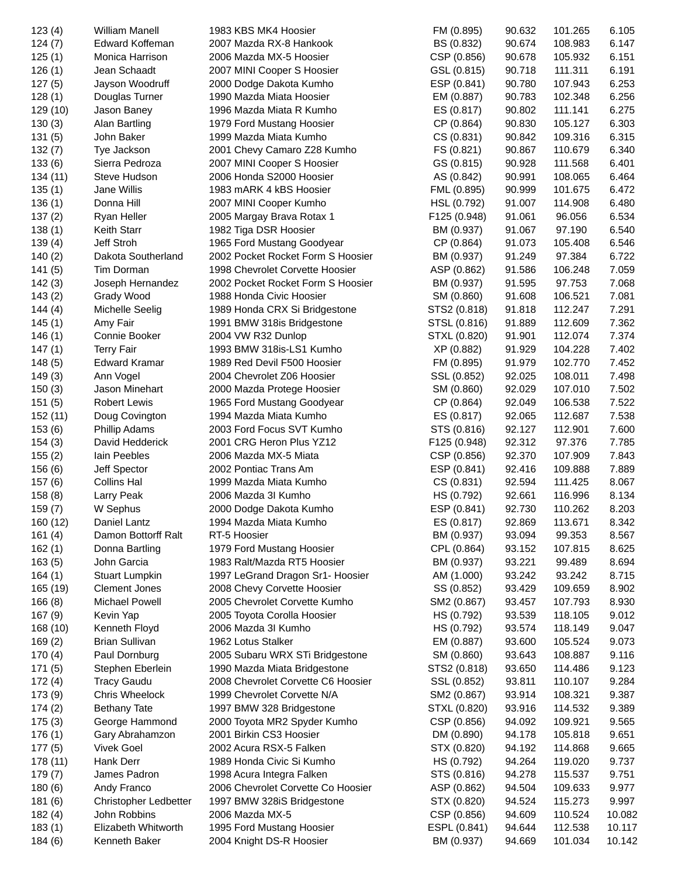| 123(4)   | William Manell        | 1983 KBS MK4 Hoosier               | FM (0.895)   | 90.632 | 101.265 | 6.105  |
|----------|-----------------------|------------------------------------|--------------|--------|---------|--------|
| 124(7)   | Edward Koffeman       | 2007 Mazda RX-8 Hankook            | BS (0.832)   | 90.674 | 108.983 | 6.147  |
| 125(1)   | Monica Harrison       | 2006 Mazda MX-5 Hoosier            | CSP (0.856)  | 90.678 | 105.932 | 6.151  |
| 126(1)   | Jean Schaadt          | 2007 MINI Cooper S Hoosier         | GSL (0.815)  | 90.718 | 111.311 | 6.191  |
| 127(5)   | Jayson Woodruff       | 2000 Dodge Dakota Kumho            | ESP (0.841)  | 90.780 | 107.943 | 6.253  |
| 128(1)   | Douglas Turner        | 1990 Mazda Miata Hoosier           | EM (0.887)   | 90.783 | 102.348 | 6.256  |
| 129 (10) | Jason Baney           | 1996 Mazda Miata R Kumho           | ES (0.817)   | 90.802 | 111.141 | 6.275  |
| 130(3)   | Alan Bartling         | 1979 Ford Mustang Hoosier          | CP (0.864)   | 90.830 | 105.127 | 6.303  |
| 131(5)   | John Baker            | 1999 Mazda Miata Kumho             | CS (0.831)   | 90.842 | 109.316 | 6.315  |
| 132(7)   | Tye Jackson           | 2001 Chevy Camaro Z28 Kumho        | FS (0.821)   | 90.867 | 110.679 | 6.340  |
| 133(6)   | Sierra Pedroza        | 2007 MINI Cooper S Hoosier         | GS (0.815)   | 90.928 | 111.568 | 6.401  |
| 134 (11) | Steve Hudson          | 2006 Honda S2000 Hoosier           | AS (0.842)   | 90.991 | 108.065 | 6.464  |
| 135(1)   | Jane Willis           | 1983 mARK 4 kBS Hoosier            | FML (0.895)  | 90.999 | 101.675 | 6.472  |
| 136(1)   | Donna Hill            | 2007 MINI Cooper Kumho             | HSL (0.792)  | 91.007 | 114.908 | 6.480  |
| 137(2)   | Ryan Heller           | 2005 Margay Brava Rotax 1          | F125 (0.948) | 91.061 | 96.056  | 6.534  |
| 138(1)   | <b>Keith Starr</b>    | 1982 Tiga DSR Hoosier              | BM (0.937)   | 91.067 | 97.190  | 6.540  |
| 139(4)   | Jeff Stroh            | 1965 Ford Mustang Goodyear         | CP (0.864)   | 91.073 | 105.408 | 6.546  |
| 140(2)   | Dakota Southerland    | 2002 Pocket Rocket Form S Hoosier  | BM (0.937)   | 91.249 | 97.384  | 6.722  |
| 141(5)   | Tim Dorman            | 1998 Chevrolet Corvette Hoosier    | ASP (0.862)  | 91.586 | 106.248 | 7.059  |
| 142(3)   | Joseph Hernandez      | 2002 Pocket Rocket Form S Hoosier  |              | 91.595 | 97.753  | 7.068  |
|          |                       |                                    | BM (0.937)   |        |         |        |
| 143(2)   | Grady Wood            | 1988 Honda Civic Hoosier           | SM (0.860)   | 91.608 | 106.521 | 7.081  |
| 144(4)   | Michelle Seelig       | 1989 Honda CRX Si Bridgestone      | STS2 (0.818) | 91.818 | 112.247 | 7.291  |
| 145(1)   | Amy Fair              | 1991 BMW 318is Bridgestone         | STSL (0.816) | 91.889 | 112.609 | 7.362  |
| 146(1)   | Connie Booker         | 2004 VW R32 Dunlop                 | STXL (0.820) | 91.901 | 112.074 | 7.374  |
| 147(1)   | <b>Terry Fair</b>     | 1993 BMW 318is-LS1 Kumho           | XP (0.882)   | 91.929 | 104.228 | 7.402  |
| 148(5)   | <b>Edward Kramar</b>  | 1989 Red Devil F500 Hoosier        | FM (0.895)   | 91.979 | 102.770 | 7.452  |
| 149(3)   | Ann Vogel             | 2004 Chevrolet Z06 Hoosier         | SSL (0.852)  | 92.025 | 108.011 | 7.498  |
| 150(3)   | Jason Minehart        | 2000 Mazda Protege Hoosier         | SM (0.860)   | 92.029 | 107.010 | 7.502  |
| 151(5)   | <b>Robert Lewis</b>   | 1965 Ford Mustang Goodyear         | CP (0.864)   | 92.049 | 106.538 | 7.522  |
| 152 (11) | Doug Covington        | 1994 Mazda Miata Kumho             | ES (0.817)   | 92.065 | 112.687 | 7.538  |
| 153(6)   | <b>Phillip Adams</b>  | 2003 Ford Focus SVT Kumho          | STS (0.816)  | 92.127 | 112.901 | 7.600  |
| 154(3)   | David Hedderick       | 2001 CRG Heron Plus YZ12           | F125 (0.948) | 92.312 | 97.376  | 7.785  |
| 155(2)   | lain Peebles          | 2006 Mazda MX-5 Miata              | CSP (0.856)  | 92.370 | 107.909 | 7.843  |
| 156(6)   | Jeff Spector          | 2002 Pontiac Trans Am              | ESP (0.841)  | 92.416 | 109.888 | 7.889  |
| 157(6)   | Collins Hal           | 1999 Mazda Miata Kumho             | CS (0.831)   | 92.594 | 111.425 | 8.067  |
| 158(8)   | Larry Peak            | 2006 Mazda 3I Kumho                | HS (0.792)   | 92.661 | 116.996 | 8.134  |
| 159(7)   | W Sephus              | 2000 Dodge Dakota Kumho            | ESP (0.841)  | 92.730 | 110.262 | 8.203  |
| 160 (12) | Daniel Lantz          | 1994 Mazda Miata Kumho             | ES (0.817)   | 92.869 | 113.671 | 8.342  |
| 161(4)   | Damon Bottorff Ralt   | RT-5 Hoosier                       | BM (0.937)   | 93.094 | 99.353  | 8.567  |
| 162(1)   | Donna Bartling        | 1979 Ford Mustang Hoosier          | CPL (0.864)  | 93.152 | 107.815 | 8.625  |
| 163(5)   | John Garcia           | 1983 Ralt/Mazda RT5 Hoosier        | BM (0.937)   | 93.221 | 99.489  | 8.694  |
| 164(1)   | <b>Stuart Lumpkin</b> | 1997 LeGrand Dragon Sr1- Hoosier   | AM (1.000)   | 93.242 | 93.242  | 8.715  |
| 165 (19) | <b>Clement Jones</b>  | 2008 Chevy Corvette Hoosier        | SS (0.852)   | 93.429 | 109.659 | 8.902  |
| 166(8)   | <b>Michael Powell</b> | 2005 Chevrolet Corvette Kumho      | SM2 (0.867)  | 93.457 | 107.793 | 8.930  |
| 167(9)   | Kevin Yap             | 2005 Toyota Corolla Hoosier        | HS (0.792)   | 93.539 | 118.105 | 9.012  |
| 168 (10) | Kenneth Floyd         | 2006 Mazda 3I Kumho                | HS (0.792)   | 93.574 | 118.149 | 9.047  |
| 169(2)   | <b>Brian Sullivan</b> | 1962 Lotus Stalker                 | EM (0.887)   | 93.600 | 105.524 | 9.073  |
| 170(4)   | Paul Dornburg         | 2005 Subaru WRX STi Bridgestone    | SM (0.860)   | 93.643 | 108.887 | 9.116  |
| 171(5)   | Stephen Eberlein      | 1990 Mazda Miata Bridgestone       | STS2 (0.818) | 93.650 | 114.486 | 9.123  |
| 172(4)   | <b>Tracy Gaudu</b>    | 2008 Chevrolet Corvette C6 Hoosier | SSL (0.852)  | 93.811 | 110.107 | 9.284  |
| 173 (9)  | Chris Wheelock        | 1999 Chevrolet Corvette N/A        | SM2 (0.867)  | 93.914 | 108.321 | 9.387  |
| 174(2)   | <b>Bethany Tate</b>   | 1997 BMW 328 Bridgestone           | STXL (0.820) | 93.916 | 114.532 | 9.389  |
| 175(3)   | George Hammond        | 2000 Toyota MR2 Spyder Kumho       | CSP (0.856)  | 94.092 | 109.921 | 9.565  |
| 176(1)   | Gary Abrahamzon       | 2001 Birkin CS3 Hoosier            | DM (0.890)   | 94.178 | 105.818 | 9.651  |
|          | <b>Vivek Goel</b>     |                                    |              |        |         |        |
| 177(5)   |                       | 2002 Acura RSX-5 Falken            | STX (0.820)  | 94.192 | 114.868 | 9.665  |
| 178 (11) | Hank Derr             | 1989 Honda Civic Si Kumho          | HS (0.792)   | 94.264 | 119.020 | 9.737  |
| 179(7)   | James Padron          | 1998 Acura Integra Falken          | STS (0.816)  | 94.278 | 115.537 | 9.751  |
| 180(6)   | Andy Franco           | 2006 Chevrolet Corvette Co Hoosier | ASP (0.862)  | 94.504 | 109.633 | 9.977  |
| 181(6)   | Christopher Ledbetter | 1997 BMW 328iS Bridgestone         | STX (0.820)  | 94.524 | 115.273 | 9.997  |
| 182(4)   | John Robbins          | 2006 Mazda MX-5                    | CSP (0.856)  | 94.609 | 110.524 | 10.082 |
| 183(1)   | Elizabeth Whitworth   | 1995 Ford Mustang Hoosier          | ESPL (0.841) | 94.644 | 112.538 | 10.117 |
| 184(6)   | Kenneth Baker         | 2004 Knight DS-R Hoosier           | BM (0.937)   | 94.669 | 101.034 | 10.142 |